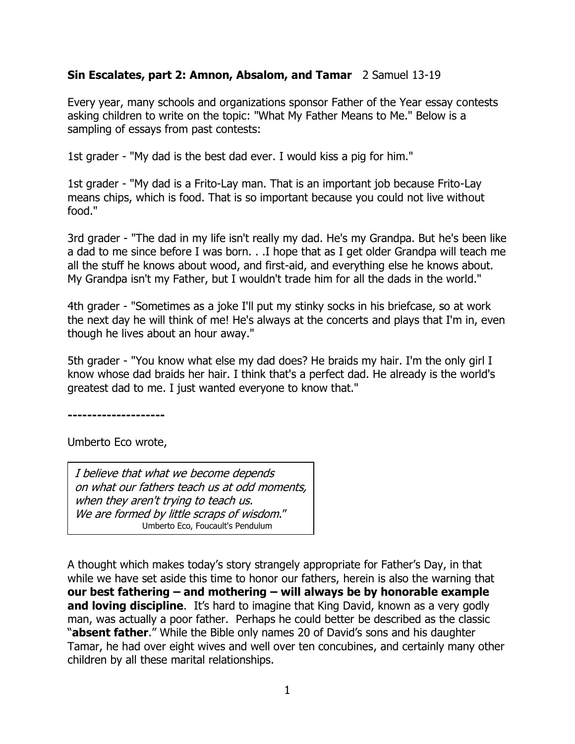## **Sin Escalates, part 2: Amnon, Absalom, and Tamar** 2 Samuel 13-19

Every year, many schools and organizations sponsor Father of the Year essay contests asking children to write on the topic: "What My Father Means to Me." Below is a sampling of essays from past contests:

1st grader - "My dad is the best dad ever. I would kiss a pig for him."

1st grader - "My dad is a Frito-Lay man. That is an important job because Frito-Lay means chips, which is food. That is so important because you could not live without food."

3rd grader - "The dad in my life isn't really my dad. He's my Grandpa. But he's been like a dad to me since before I was born. . .I hope that as I get older Grandpa will teach me all the stuff he knows about wood, and first-aid, and everything else he knows about. My Grandpa isn't my Father, but I wouldn't trade him for all the dads in the world."

4th grader - "Sometimes as a joke I'll put my stinky socks in his briefcase, so at work the next day he will think of me! He's always at the concerts and plays that I'm in, even though he lives about an hour away."

5th grader - "You know what else my dad does? He braids my hair. I'm the only girl I know whose dad braids her hair. I think that's a perfect dad. He already is the world's greatest dad to me. I just wanted everyone to know that."

**--------------------**

Umberto Eco wrote,

I believe that what we become depends on what our fathers teach us at odd moments, when they aren't trying to teach us. We are formed by little scraps of wisdom." Umberto Eco, Foucault's Pendulum

A thought which makes today's story strangely appropriate for Father's Day, in that while we have set aside this time to honor our fathers, herein is also the warning that **our best fathering – and mothering – will always be by honorable example and loving discipline**. It's hard to imagine that King David, known as a very godly man, was actually a poor father. Perhaps he could better be described as the classic "**absent father**." While the Bible only names 20 of David's sons and his daughter Tamar, he had over eight wives and well over ten concubines, and certainly many other children by all these marital relationships.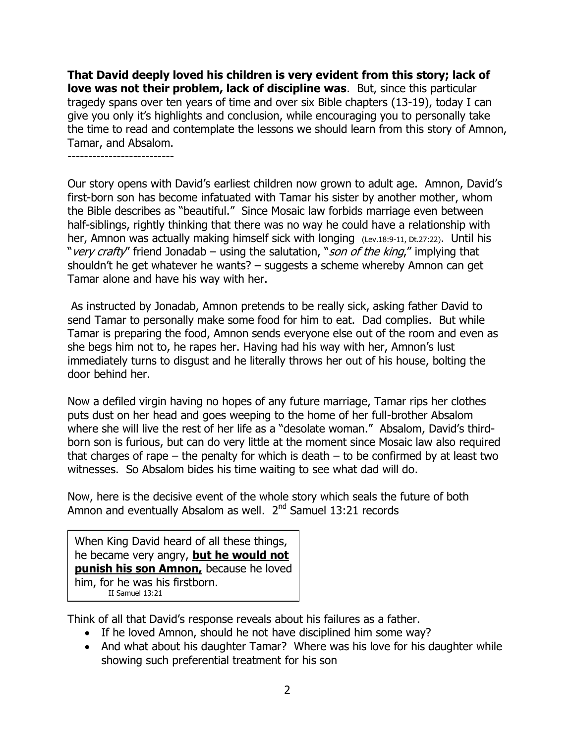**That David deeply loved his children is very evident from this story; lack of love was not their problem, lack of discipline was**. But, since this particular tragedy spans over ten years of time and over six Bible chapters (13-19), today I can give you only it's highlights and conclusion, while encouraging you to personally take the time to read and contemplate the lessons we should learn from this story of Amnon, Tamar, and Absalom.

--------------------------

Our story opens with David's earliest children now grown to adult age. Amnon, David's first-born son has become infatuated with Tamar his sister by another mother, whom the Bible describes as "beautiful." Since Mosaic law forbids marriage even between half-siblings, rightly thinking that there was no way he could have a relationship with her, Amnon was actually making himself sick with longing (Lev.18:9-11, Dt.27:22). Until his "very crafty" friend Jonadab – using the salutation, "son of the king," implying that shouldn't he get whatever he wants? – suggests a scheme whereby Amnon can get Tamar alone and have his way with her.

As instructed by Jonadab, Amnon pretends to be really sick, asking father David to send Tamar to personally make some food for him to eat. Dad complies. But while Tamar is preparing the food, Amnon sends everyone else out of the room and even as she begs him not to, he rapes her. Having had his way with her, Amnon's lust immediately turns to disgust and he literally throws her out of his house, bolting the door behind her.

Now a defiled virgin having no hopes of any future marriage, Tamar rips her clothes puts dust on her head and goes weeping to the home of her full-brother Absalom where she will live the rest of her life as a "desolate woman." Absalom, David's thirdborn son is furious, but can do very little at the moment since Mosaic law also required that charges of rape  $-$  the penalty for which is death  $-$  to be confirmed by at least two witnesses. So Absalom bides his time waiting to see what dad will do.

Now, here is the decisive event of the whole story which seals the future of both Amnon and eventually Absalom as well. 2<sup>nd</sup> Samuel 13:21 records

When King David heard of all these things, he became very angry, **but he would not punish his son Amnon,** because he loved him, for he was his firstborn. II Samuel 13:21

Think of all that David's response reveals about his failures as a father.

- If he loved Amnon, should he not have disciplined him some way?
- And what about his daughter Tamar? Where was his love for his daughter while showing such preferential treatment for his son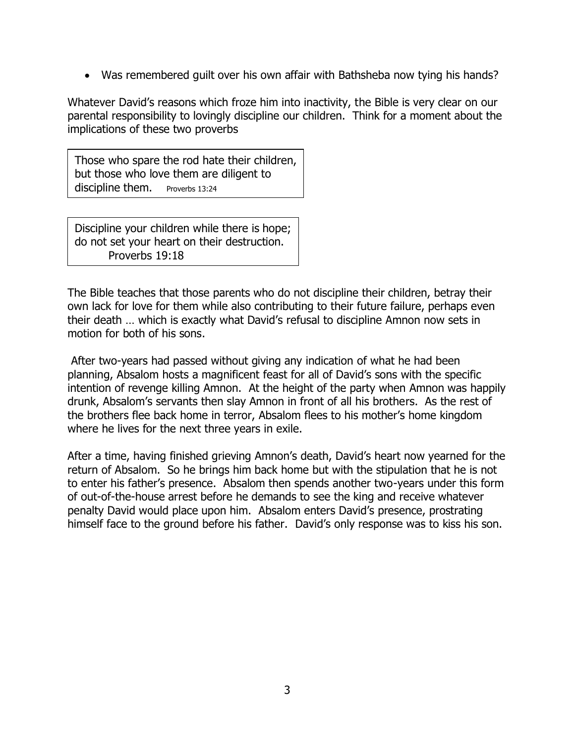Was remembered guilt over his own affair with Bathsheba now tying his hands?

Whatever David's reasons which froze him into inactivity, the Bible is very clear on our parental responsibility to lovingly discipline our children. Think for a moment about the implications of these two proverbs

Those who spare the rod hate their children, but those who love them are diligent to discipline them. Proverbs 13:24

Discipline your children while there is hope; do not set your heart on their destruction. Proverbs 19:18

The Bible teaches that those parents who do not discipline their children, betray their own lack for love for them while also contributing to their future failure, perhaps even their death … which is exactly what David's refusal to discipline Amnon now sets in motion for both of his sons.

After two-years had passed without giving any indication of what he had been planning, Absalom hosts a magnificent feast for all of David's sons with the specific intention of revenge killing Amnon. At the height of the party when Amnon was happily drunk, Absalom's servants then slay Amnon in front of all his brothers. As the rest of the brothers flee back home in terror, Absalom flees to his mother's home kingdom where he lives for the next three years in exile.

After a time, having finished grieving Amnon's death, David's heart now yearned for the return of Absalom. So he brings him back home but with the stipulation that he is not to enter his father's presence. Absalom then spends another two-years under this form of out-of-the-house arrest before he demands to see the king and receive whatever penalty David would place upon him. Absalom enters David's presence, prostrating himself face to the ground before his father. David's only response was to kiss his son.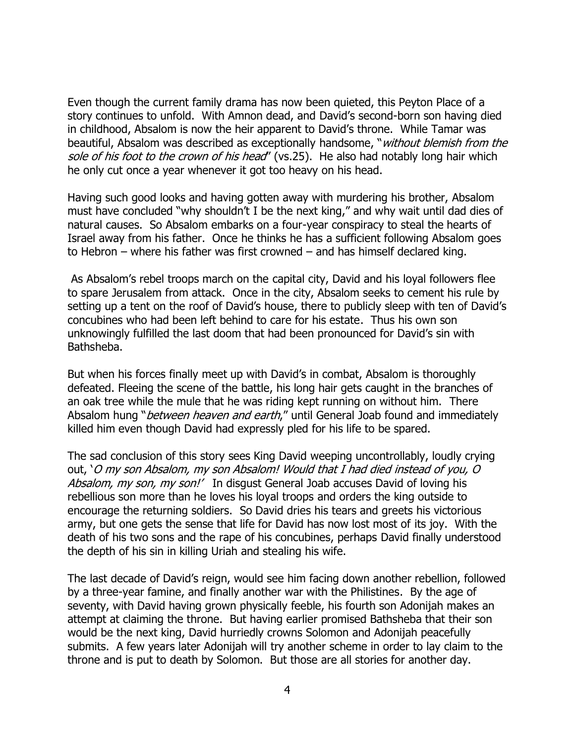Even though the current family drama has now been quieted, this Peyton Place of a story continues to unfold. With Amnon dead, and David's second-born son having died in childhood, Absalom is now the heir apparent to David's throne. While Tamar was beautiful, Absalom was described as exceptionally handsome, "*without blemish from the* sole of his foot to the crown of his head" (vs.25). He also had notably long hair which he only cut once a year whenever it got too heavy on his head.

Having such good looks and having gotten away with murdering his brother, Absalom must have concluded "why shouldn't I be the next king," and why wait until dad dies of natural causes. So Absalom embarks on a four-year conspiracy to steal the hearts of Israel away from his father. Once he thinks he has a sufficient following Absalom goes to Hebron – where his father was first crowned – and has himself declared king.

As Absalom's rebel troops march on the capital city, David and his loyal followers flee to spare Jerusalem from attack. Once in the city, Absalom seeks to cement his rule by setting up a tent on the roof of David's house, there to publicly sleep with ten of David's concubines who had been left behind to care for his estate. Thus his own son unknowingly fulfilled the last doom that had been pronounced for David's sin with Bathsheba.

But when his forces finally meet up with David's in combat, Absalom is thoroughly defeated. Fleeing the scene of the battle, his long hair gets caught in the branches of an oak tree while the mule that he was riding kept running on without him. There Absalom hung "*between heaven and earth*," until General Joab found and immediately killed him even though David had expressly pled for his life to be spared.

The sad conclusion of this story sees King David weeping uncontrollably, loudly crying out, 'O my son Absalom, my son Absalom! Would that I had died instead of you, O Absalom, my son, my son!' In disgust General Joab accuses David of loving his rebellious son more than he loves his loyal troops and orders the king outside to encourage the returning soldiers. So David dries his tears and greets his victorious army, but one gets the sense that life for David has now lost most of its joy. With the death of his two sons and the rape of his concubines, perhaps David finally understood the depth of his sin in killing Uriah and stealing his wife.

The last decade of David's reign, would see him facing down another rebellion, followed by a three-year famine, and finally another war with the Philistines. By the age of seventy, with David having grown physically feeble, his fourth son Adonijah makes an attempt at claiming the throne. But having earlier promised Bathsheba that their son would be the next king, David hurriedly crowns Solomon and Adonijah peacefully submits. A few years later Adonijah will try another scheme in order to lay claim to the throne and is put to death by Solomon. But those are all stories for another day.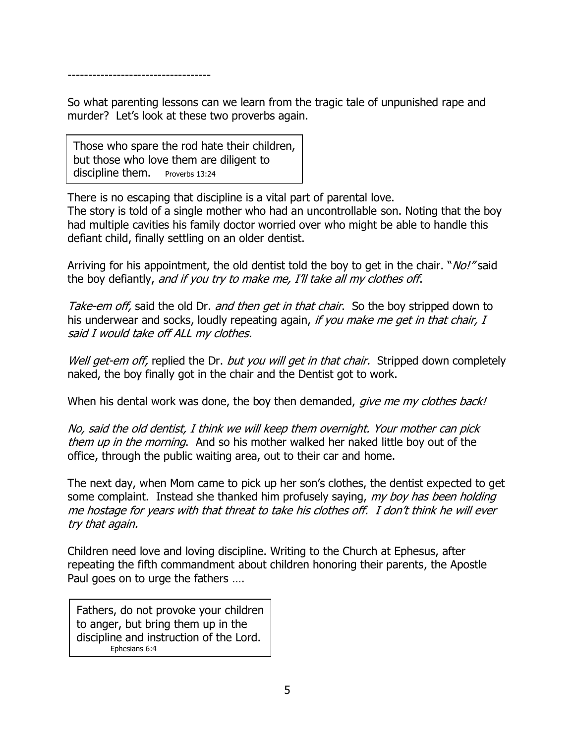-----------------------------------

So what parenting lessons can we learn from the tragic tale of unpunished rape and murder? Let's look at these two proverbs again.

Those who spare the rod hate their children, but those who love them are diligent to discipline them. Proverbs 13:24

There is no escaping that discipline is a vital part of parental love. The story is told of a single mother who had an uncontrollable son. Noting that the boy had multiple cavities his family doctor worried over who might be able to handle this defiant child, finally settling on an older dentist.

Arriving for his appointment, the old dentist told the boy to get in the chair. "*No!"* said the boy defiantly, and if you try to make me, I'll take all my clothes off.

Take-em off, said the old Dr. and then get in that chair. So the boy stripped down to his underwear and socks, loudly repeating again, if you make me get in that chair, I said I would take off ALL my clothes.

Well get-em off, replied the Dr. but you will get in that chair. Stripped down completely naked, the boy finally got in the chair and the Dentist got to work.

When his dental work was done, the boy then demanded, give me my clothes back!

No, said the old dentist, I think we will keep them overnight. Your mother can pick them up in the morning. And so his mother walked her naked little boy out of the office, through the public waiting area, out to their car and home.

The next day, when Mom came to pick up her son's clothes, the dentist expected to get some complaint. Instead she thanked him profusely saying, my boy has been holding me hostage for years with that threat to take his clothes off. I don't think he will ever try that again.

Children need love and loving discipline. Writing to the Church at Ephesus, after repeating the fifth commandment about children honoring their parents, the Apostle Paul goes on to urge the fathers ….

Fathers, do not provoke your children to anger, but bring them up in the discipline and instruction of the Lord. Ephesians 6:4